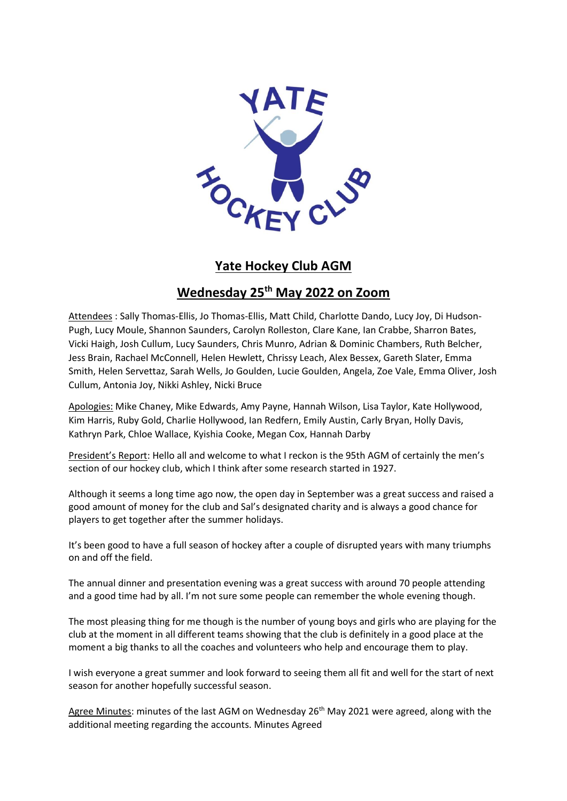

## **Yate Hockey Club AGM**

## **Wednesday 25 th May 2022 on Zoom**

Attendees : Sally Thomas-Ellis, Jo Thomas-Ellis, Matt Child, Charlotte Dando, Lucy Joy, Di Hudson-Pugh, Lucy Moule, Shannon Saunders, Carolyn Rolleston, Clare Kane, Ian Crabbe, Sharron Bates, Vicki Haigh, Josh Cullum, Lucy Saunders, Chris Munro, Adrian & Dominic Chambers, Ruth Belcher, Jess Brain, Rachael McConnell, Helen Hewlett, Chrissy Leach, Alex Bessex, Gareth Slater, Emma Smith, Helen Servettaz, Sarah Wells, Jo Goulden, Lucie Goulden, Angela, Zoe Vale, Emma Oliver, Josh Cullum, Antonia Joy, Nikki Ashley, Nicki Bruce

Apologies: Mike Chaney, Mike Edwards, Amy Payne, Hannah Wilson, Lisa Taylor, Kate Hollywood, Kim Harris, Ruby Gold, Charlie Hollywood, Ian Redfern, Emily Austin, Carly Bryan, Holly Davis, Kathryn Park, Chloe Wallace, Kyishia Cooke, Megan Cox, Hannah Darby

President's Report: Hello all and welcome to what I reckon is the 95th AGM of certainly the men's section of our hockey club, which I think after some research started in 1927.

Although it seems a long time ago now, the open day in September was a great success and raised a good amount of money for the club and Sal's designated charity and is always a good chance for players to get together after the summer holidays.

It's been good to have a full season of hockey after a couple of disrupted years with many triumphs on and off the field.

The annual dinner and presentation evening was a great success with around 70 people attending and a good time had by all. I'm not sure some people can remember the whole evening though.

The most pleasing thing for me though is the number of young boys and girls who are playing for the club at the moment in all different teams showing that the club is definitely in a good place at the moment a big thanks to all the coaches and volunteers who help and encourage them to play.

I wish everyone a great summer and look forward to seeing them all fit and well for the start of next season for another hopefully successful season.

Agree Minutes: minutes of the last AGM on Wednesday 26<sup>th</sup> May 2021 were agreed, along with the additional meeting regarding the accounts. Minutes Agreed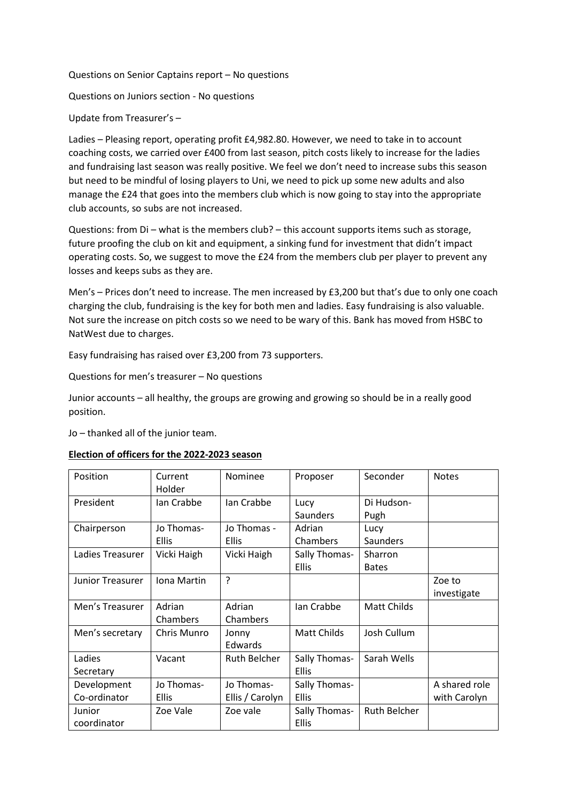Questions on Senior Captains report – No questions

Questions on Juniors section - No questions

Update from Treasurer's –

Ladies – Pleasing report, operating profit £4,982.80. However, we need to take in to account coaching costs, we carried over £400 from last season, pitch costs likely to increase for the ladies and fundraising last season was really positive. We feel we don't need to increase subs this season but need to be mindful of losing players to Uni, we need to pick up some new adults and also manage the £24 that goes into the members club which is now going to stay into the appropriate club accounts, so subs are not increased.

Questions: from Di – what is the members club? – this account supports items such as storage, future proofing the club on kit and equipment, a sinking fund for investment that didn't impact operating costs. So, we suggest to move the £24 from the members club per player to prevent any losses and keeps subs as they are.

Men's – Prices don't need to increase. The men increased by £3,200 but that's due to only one coach charging the club, fundraising is the key for both men and ladies. Easy fundraising is also valuable. Not sure the increase on pitch costs so we need to be wary of this. Bank has moved from HSBC to NatWest due to charges.

Easy fundraising has raised over £3,200 from 73 supporters.

Questions for men's treasurer – No questions

Junior accounts – all healthy, the groups are growing and growing so should be in a really good position.

Jo – thanked all of the junior team.

|  |  |  |  | Election of officers for the 2022-2023 season |  |
|--|--|--|--|-----------------------------------------------|--|
|--|--|--|--|-----------------------------------------------|--|

| Position         | Current<br>Holder | Nominee             | Proposer           | Seconder            | <b>Notes</b>  |
|------------------|-------------------|---------------------|--------------------|---------------------|---------------|
| President        | Ian Crabbe        | lan Crabbe          | Lucy               | Di Hudson-          |               |
|                  |                   |                     | <b>Saunders</b>    | Pugh                |               |
| Chairperson      | Jo Thomas-        | Jo Thomas -         | Adrian             | Lucy                |               |
|                  | <b>Ellis</b>      | <b>Ellis</b>        | Chambers           | Saunders            |               |
| Ladies Treasurer | Vicki Haigh       | Vicki Haigh         | Sally Thomas-      | Sharron             |               |
|                  |                   |                     | <b>Ellis</b>       | <b>Bates</b>        |               |
| Junior Treasurer | Iona Martin       | ?                   |                    |                     | Zoe to        |
|                  |                   |                     |                    |                     | investigate   |
| Men's Treasurer  | Adrian            | Adrian              | Ian Crabbe         | <b>Matt Childs</b>  |               |
|                  | Chambers          | Chambers            |                    |                     |               |
| Men's secretary  | Chris Munro       | Jonny               | <b>Matt Childs</b> | Josh Cullum         |               |
|                  |                   | Edwards             |                    |                     |               |
| Ladies           | Vacant            | <b>Ruth Belcher</b> | Sally Thomas-      | Sarah Wells         |               |
| Secretary        |                   |                     | <b>Ellis</b>       |                     |               |
| Development      | Jo Thomas-        | Jo Thomas-          | Sally Thomas-      |                     | A shared role |
| Co-ordinator     | <b>Ellis</b>      | Ellis / Carolyn     | <b>Ellis</b>       |                     | with Carolyn  |
| Junior           | Zoe Vale          | Zoe vale            | Sally Thomas-      | <b>Ruth Belcher</b> |               |
| coordinator      |                   |                     | <b>Ellis</b>       |                     |               |